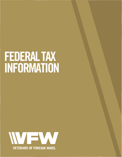# **FEDERAL TAX INFORMATION**

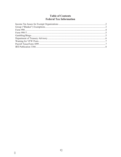# **Table of Contents Federal Tax Information**

 $\hat{\mathcal{L}}$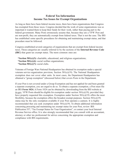#### **Federal Tax Information Income Tax Issues for Exempt Organizations**

As long as there have been federal income taxes, there have been organizations that Congress has exempted from those taxes. Congress decided that the work of some organizations was so important it wanted them to keep their funds for their work, rather than paying part to the federal government. Many Posts erroneously assume that, because they are a VFW Post and are non-profit, they are automatically exempt from federal taxes. That is not the case. The IRS has established some specific procedures for obtaining and maintaining exempt status, and that procedure must be followed.

Congress established several categories of organizations that are exempt from federal income taxes. Those categories are usually referred to by the sections of the **Internal Revenue Code (IRC)** that grant tax exempt status. The more common ones are:

**\*Section 501(c)(3):** charitable, educational, and religious organizations; **\*Section 501(c)(4):** social welfare organizations; **\*Section 501(c)(7):** social clubs.

Veterans of Foreign Wars National Headquarters has obtained its exemption under a special veterans service organization provision, Section 501(c)(19). The National Headquarters exemption does not cover other units. In most cases, the Department Headquarters has obtained a "group exemption" (discussed below) that covers Posts in the Department.

If your Post is not covered under a Group Exemption and has not applied for and been granted a separate exemption, you are urged to do so. To obtain a separate exemption, a Post must file an IRS **Form 1024.** A Form 1024 can be obtained by downloading from the IRS website at  $\underline{\text{irs.gov}}$ . VFW Posts should be eligible for exemption under section 501(c)(19), provided they have properly requested this exemption. Exemption under Section 501(c)(19) offers the most flexibility, because the exemption offers the broadest exempt purposes. Section  $501(c)(19)$ status may be the only exemption available if your Post operates a canteen. It is highly recommended that you seek exemption under  $501(c)(19)$ . To obtain additional information concerning procuring and maintaining tax exempt status for your Post, review IRS Publication 557, "Tax Exempt Status for Your Organization", or contact your local Internal Revenue Service office. It is also strongly recommended that you consult with an accountant, attorney or other tax professional for advice concerning the appropriate exemption and compliance with IRS requirements.

j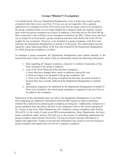#### **Group ("Blanket") Exemptions**

You should check with your Department Headquarters to see if it has been issued a group exemption letter that covers your Post. If it has, you are not required to file a separate application for exemption on Form 1024 unless your Post no longer wants to be included in the group exemption letter or is no longer eligible for exemption under the statutory section upon which the group exemption was issued. In addition, a Post that fails to file form 990 for three consecutive years will have its tax exemption revoked by the IRS. If this occurs, the Post can no longer be covered under a group exemption and must individually file Form 1024 to reapply for tax exemption. However, to be included in a group exemption, each Post must authorize the Department Headquarters to include it in the group. The authorization must be signed by a duly authorized officer of the Post and retained by the Department Headquarters for which the group exemption is in effect.

To maintain a group exemption, the Department Headquarters must submit annually to the Internal Revenue Center with which it files its information returns the following information:

- 1) Data regarding all changes in purpose, character or method of operation of the Posts included in the group exemption:
- 2) Lists of the Posts fitting the following three categories:
	- a) Posts that have changed their names or addresses during the year,
	- b) Posts no longer to be included in the group exemption, and

c) Posts to be added to the group exemption because they are newly formed or because they have recently authorized the Department Headquarters to include them.

3) Information required to be submitted by the Department Headquarters on behalf of Posts to be included in the initial group exemption is required for the new Posts to be added to the exemption.

Submission of this information does not relieve the Department Headquarters or any Posts from supplying any additional information which the IRS requires in order to determine whether the conditions for continuing the exemption are being met. Additionally, inclusion in a group exemption does not relieve the Post of any obligation it has to file income and payroll tax returns or pay taxes. Most Departments have obtained a group exemption under Section  $501(c)(19)$ . As the result of some recent IRS recommendations, those Departments that have group exemptions under Section  $501(c)(4)$  are in the process of submitting applications for group exemption under Section  $501(c)(19)$ . You may be asked to provide information to support that application. Failure to provide that information may result in your Post losing its group exemption and require that you file for a separate exemption

j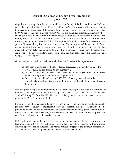## **Return of Organization Exempt From Income Tax (Form 990)**

Organizations exempt from income tax under Section 501(c) of the Internal Revenue Code are generally required to file Form 990 by the 15th day of the fifth month following the close of their accounting fiscal year. If the organization's annual gross receipts are normally more than \$50,000, the organization must file Form 990 or 990-EZ. Small tax-exempt organizations whose annual gross receipts are normally \$50,000 or less are required to electronically submit Form 990-N, also known as the e-Postcard. There is no penalty assessment for late filling the e-Postcard, but an organization that fails to file required information returns for three consecutive years will automatically lose its tax-exempt status. The revocation of the organization's tax exempt status will not take place until the filing due date of the third year. In the event that an organization loses its tax exemption for failure to file for three consecutive years, the organization can no longer be covered under a group exemption, and must individually file Form 1024 and reapply for tax exemption.

Gross receipts are considered to be normally less than \$50,000 if the organization:

- a) Has been in existence for 1 year or less and received, or donors have pledged to give, \$75,000 or less during its first taxable year;
- b) Has been in existence between 1 and 3 years and averaged \$60,000 or less in gross receipts during each of its first two tax years; and
- c) Is at least 3 years old and averaged \$50,000 or less in gross receipts for the immediately preceding 3 tax years (including the year for which the calculations are being made).

If annual gross receipts are normally more than \$50,000, the organization must file Form 990 or 990-EZ. If an organization has gross receipts less than \$200,000 and total assets less than \$500,000, it may file form 990-EZ. However, if either gross receipts or total assets are above those limits, Form 990 must be filed.

For purposes of filing requirements, gross receipts include: total contributions; gifts and grants; program service revenue; membership dues and assessments; gross investment income (including interest, dividends, gross rents, and other investment income); gross income from the sale of assets other than inventory; gross income from special fundraising events; gross sales net of return allowances; and any other revenue.

IRS regulations require that all tax-exempt organizations make both their Application for Exemption and 990's for the last three years available for public inspection at their principal office and provide copies in response to written requests, subject to the payment of reasonable fees. There are substantial penalties for violation of these regulations.

j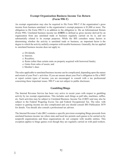#### **Exempt Organization Business Income Tax Return (Form 990-T)**

An exempt organization may also be required to file Form 990-T if the organization's gross income from business unrelated to the organization's exempt purposes is \$1,000 or more. The obligation to file Form 990-T is in addition to the obligation to file an Informational Return (Form 990). Unrelated business income tax **(UBIT)** is defined as gross income derived by an organization from any unrelated trade or business regularly carried on by it, and not substantially related to its exempt purposes. While the IRS considers many factors in determining whether the activity is unrelated trade or business, an important factor is the degree to which the activity unfairly competes with taxable businesses. Generally, the tax applied to unrelated business income does not apply to:

- a) Dividends;
- b) Interest;

j

- c) Royalties;
- d) Rents (other than certain rents on property acquired with borrowed funds);
- e) Gains from sales of assets; and
- f) Member's dues

The rules applicable to unrelated business income can be complicated, depending upon the nature and extent of your Post's activities. If you are unsure about your Post's obligation to file a 990T or report certain types of income, you are encouraged to consult with a tax professional concerning these important issues. 990-T's are not subject to public disclosure.

#### **Gambling/Bingo**

The Internal Revenue Service has been very active in recent years with respect to gambling activity by tax exempt organizations. This includes such things as pull tabs, machines, raffles, etc. Such activities may be subject to Unrelated Business Income Tax (UBIT) and may also be subject to the Federal Wagering Excise Tax and Federal Occupational Tax. The rules with respect to gaming income are also complicated and you should consult IRS Publication 3079 for details. You should also consult a professional tax advisor.

The Internal Revenue Code (IRC) contains a specific provision exempting Bingo proceeds from unrelated business income tax where state and local law permits such games to be carried on by nonprofit organizations and these organizations do not compete with taxable entities. This exception applies to bingo games even though they are regularly carried on with paid workers.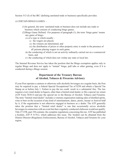Section 513 (f) of the IRC (defining unrelated trade or business) specifically provides:

(f) CERTAIN BINGO GAMES. -

j

- (1)In general, the term 'unrelated trade or business does not include any trade or business which consists of conducting bingo games.
- (2)Bingo Game Defined. -For purposes of paragraph (1), the term 'bingo game' means any game of bingo-
	- (A) of a type in which usually
		- (i) the wagers are placed,
		- (ii) the winners are determined, and
		- (iii) the distribution of prizes or other property entry is made in the presence of all persons placing wagers in such game,
	- (B) the conducting of which is not an activity ordinarily carried out on a commercial basis, and
	- (C) the conducting of which does not violate any state or local law.

The Internal Revenue Service has taken the position that the Bingo exemption applies only to regular Bingo and does not apply to "instant" bingo, pull tabs or other gaming, even if it is conducted during a Bingo session.

# **Department of the Treasury Bureau of Alcohol, Tobacco & Firearms Advisory**

If your Post operates a canteen or otherwise sells alcoholic beverages on a regular basis, the Post may be required to pay a federal Special Occupational Tax of \$250 and obtain a Special Tax Stamp on or before July 1. Failure to pay the tax could result in a substantial fine. The law requires every retail dealer in liquors, other than a limited retail dealer, to file a special tax return (ATF Form 5630.5) and pay the special tax to the Bureau of Alcohol, Tobacco and Firearms. The term "limited retail dealer" includes a veterans organization making sales of distilled spirits, wine or beer on the occasion of any kind of entertainment, dance, picnic, bazaar or festival held by it, if the organization is not otherwise engaged in business as a dealer. The ATF generally takes the position that a "limited retail dealer" is one that occasionally serves alcoholic beverages in connection with an event but that a regularly conducted clubroom would not qualify. Title 27 CFR, part 194 contains the complete regulations concerning this tax. ATF has published a booklet, ATF P 5170.2, which addresses this issue. The booklet can be obtained from the District Director (Regulatory Enforcement), Bureau of Alcohol, Tobacco and Firearms for your region.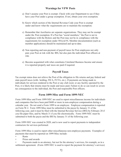# **Warnings for VFW Posts**

- a) Don't assume your Post is exempt. Check with your Department to see if they have your Post under a group exemption. If not, obtain your own exemption.
- b) Know which section of the Internal Revenue Code your Post is exempt under and know what the requirements are to maintain the exemption.
- c) Remember that Auxiliaries are separate organizations. They may not be exempt under the Post exemption. If a Post has "social members," the Post is not in compliance with the Bylaws and the Post may not be in compliance with the requirements for exemption under  $501(c)(19)$ . Member documentation (such as member applications) should be maintained and up-to-date.
- d) Non reporting and non-payment of payroll taxes for Post employees not only puts your Post at risk with the IRS, but also puts the individual Post officers at risk.
- e) Become acquainted with what constitutes Unrelated Business Income and ensure it is reported properly and taxes are paid if required.

# **Payroll Taxes**

Tax exempt status does not relieve the Post of the obligation to file returns and pay federal and state payroll taxes (with- holding, FICA, FUTA, etc.). If payments are being made to individuals for services rendered to the Post or any club room or any facility operated by the Post, it is likely that returns must be made and taxes paid. Failure to do so can result in severe tax consequences to the individual, the Post and responsible Post officers.

#### **Form 1099-Misc and Form 1099-NEC**

Form 1099-Misc and Form 1099-NEC are used to report miscellaneous income for individuals and companies that have been paid \$600 or more in non-employee compensation during a calendar year. Do not send a Form 1099 to an employee. Employee compensation is reported on Form W-2. Form 1099-Misc must be submitted to the payee by January 31 of the following year, and it must be filed with the Internal Revenue Service (IRS) by February 28 if you file paper files, and by March 31 if you file electronically. Form 1099-NEC must be submitted to both the payee and the IRS by January 31 of the following year.

Form 1099-NEC was created in 2020, and is now used to report payments to independent contractors for services performed.

Form 1099-Misc is used to report other miscellaneous non-employee payments. Examples of payments that must be reported on 1099-Misc include:

- Rents
- Prizes and awards
- Payments made to an attorney, but not for the attorney's services, for example, as in a settlement agreement. (Form 1099-NEC is used to report the payment for attorney's services)